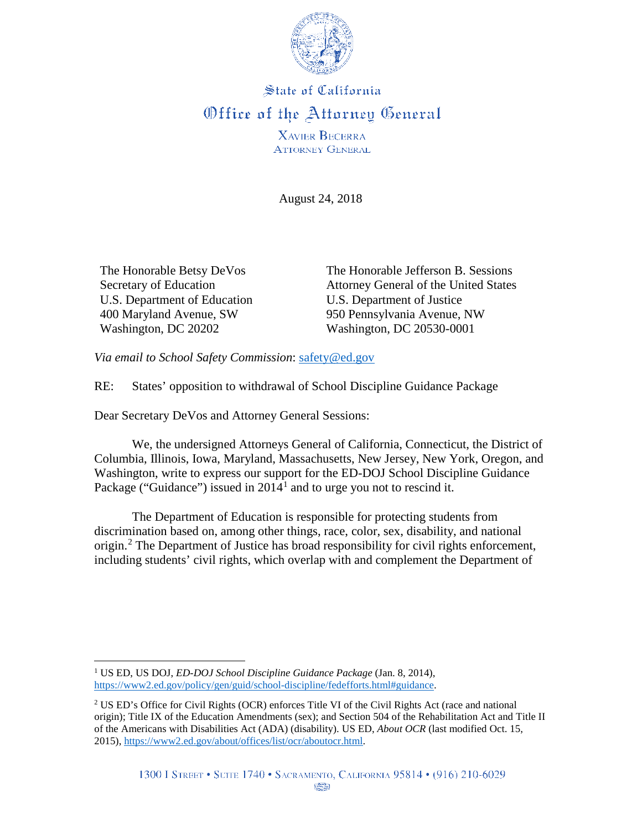

## **State of California** Office of the Attorney General

**XAVIER BECERRA ATTORNEY GENERAL** 

August 24, 2018

The Honorable Betsy DeVos Secretary of Education U.S. Department of Education 400 Maryland Avenue, SW Washington, DC 20202

The Honorable Jefferson B. Sessions Attorney General of the United States U.S. Department of Justice 950 Pennsylvania Avenue, NW Washington, DC 20530-0001

*Via email to School Safety Commission*: [safety@ed.gov](mailto:safety@ed.gov)

RE: States' opposition to withdrawal of School Discipline Guidance Package

Dear Secretary DeVos and Attorney General Sessions:

We, the undersigned Attorneys General of California, Connecticut, the District of Columbia, Illinois, Iowa, Maryland, Massachusetts, New Jersey, New York, Oregon, and Washington, write to express our support for the ED-DOJ School Discipline Guidance Package ("Guidance") issued in  $2014^1$  $2014^1$  $2014^1$  and to urge you not to rescind it.

The Department of Education is responsible for protecting students from discrimination based on, among other things, race, color, sex, disability, and national origin.<sup>[2](#page-0-1)</sup> The Department of Justice has broad responsibility for civil rights enforcement, including students' civil rights, which overlap with and complement the Department of

<span id="page-0-0"></span> <sup>1</sup> US ED, US DOJ, *ED-DOJ School Discipline Guidance Package* (Jan. 8, 2014), [https://www2.ed.gov/policy/gen/guid/school-discipline/fedefforts.html#guidance.](https://www2.ed.gov/policy/gen/guid/school-discipline/fedefforts.html#guidance)

<span id="page-0-1"></span><sup>&</sup>lt;sup>2</sup> US ED's Office for Civil Rights (OCR) enforces Title VI of the Civil Rights Act (race and national origin); Title IX of the Education Amendments (sex); and Section 504 of the Rehabilitation Act and Title II of the Americans with Disabilities Act (ADA) (disability). US ED, *About OCR* (last modified Oct. 15, 2015), [https://www2.ed.gov/about/offices/list/ocr/aboutocr.html.](https://www2.ed.gov/about/offices/list/ocr/aboutocr.html)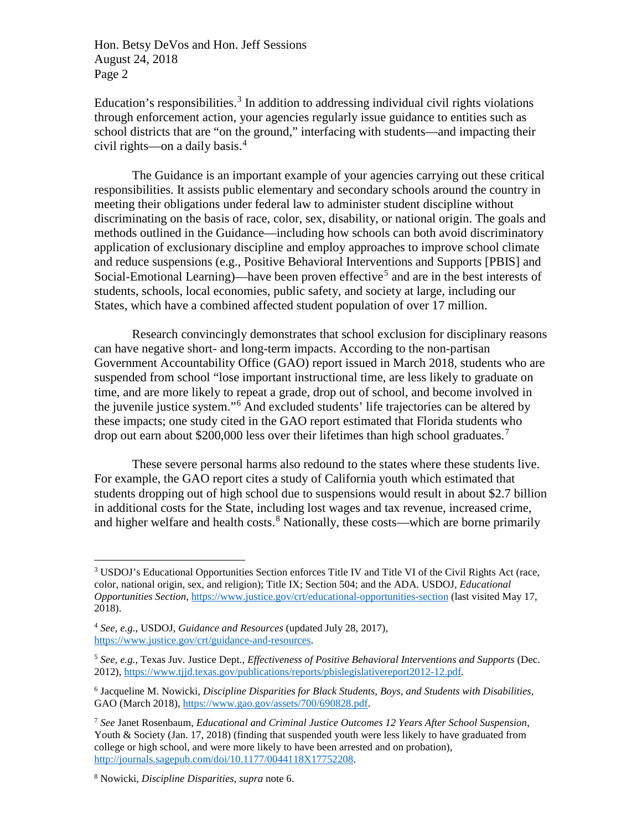Education's responsibilities.<sup>[3](#page-1-0)</sup> In addition to addressing individual civil rights violations through enforcement action, your agencies regularly issue guidance to entities such as school districts that are "on the ground," interfacing with students—and impacting their civil rights—on a daily basis.[4](#page-1-1)

The Guidance is an important example of your agencies carrying out these critical responsibilities. It assists public elementary and secondary schools around the country in meeting their obligations under federal law to administer student discipline without discriminating on the basis of race, color, sex, disability, or national origin. The goals and methods outlined in the Guidance—including how schools can both avoid discriminatory application of exclusionary discipline and employ approaches to improve school climate and reduce suspensions (e.g., Positive Behavioral Interventions and Supports [PBIS] and Social-Emotional Learning)—have been proven effective<sup>[5](#page-1-2)</sup> and are in the best interests of students, schools, local economies, public safety, and society at large, including our States, which have a combined affected student population of over 17 million.

Research convincingly demonstrates that school exclusion for disciplinary reasons can have negative short- and long-term impacts. According to the non-partisan Government Accountability Office (GAO) report issued in March 2018, students who are suspended from school "lose important instructional time, are less likely to graduate on time, and are more likely to repeat a grade, drop out of school, and become involved in the juvenile justice system."[6](#page-1-3) And excluded students' life trajectories can be altered by these impacts; one study cited in the GAO report estimated that Florida students who drop out earn about \$200,000 less over their lifetimes than high school graduates.<sup>[7](#page-1-4)</sup>

These severe personal harms also redound to the states where these students live. For example, the GAO report cites a study of California youth which estimated that students dropping out of high school due to suspensions would result in about \$2.7 billion in additional costs for the State, including lost wages and tax revenue, increased crime, and higher welfare and health costs.<sup>[8](#page-1-5)</sup> Nationally, these costs—which are borne primarily

<span id="page-1-0"></span><sup>&</sup>lt;sup>3</sup> USDOJ's Educational Opportunities Section enforces Title IV and Title VI of the Civil Rights Act (race, color, national origin, sex, and religion); Title IX; Section 504; and the ADA. USDOJ, *Educational Opportunities Section*[, https://www.justice.gov/crt/educational-opportunities-section](https://www.justice.gov/crt/educational-opportunities-section) (last visited May 17, 2018).

<span id="page-1-1"></span><sup>4</sup> *See, e.g.*, USDOJ, *Guidance and Resources* (updated July 28, 2017), [https://www.justice.gov/crt/guidance-and-resources.](https://www.justice.gov/crt/guidance-and-resources)

<span id="page-1-2"></span><sup>5</sup> *See, e.g.*, Texas Juv. Justice Dept., *Effectiveness of Positive Behavioral Interventions and Supports* (Dec. 2012),<https://www.tjjd.texas.gov/publications/reports/pbislegislativereport2012-12.pdf>*.* 

<span id="page-1-3"></span><sup>6</sup> Jacqueline M. Nowicki, *Discipline Disparities for Black Students, Boys, and Students with Disabilities*, GAO (March 2018)[, https://www.gao.gov/assets/700/690828.pdf.](https://www.gao.gov/assets/700/690828.pdf)

<span id="page-1-4"></span><sup>7</sup> *See* Janet Rosenbaum, *Educational and Criminal Justice Outcomes 12 Years After School Suspension*, Youth & Society (Jan. 17, 2018) (finding that suspended youth were less likely to have graduated from college or high school, and were more likely to have been arrested and on probation), [http://journals.sagepub.com/doi/10.1177/0044118X17752208.](http://journals.sagepub.com/doi/10.1177/0044118X17752208)

<span id="page-1-5"></span><sup>8</sup> Nowicki, *Discipline Disparities*, *supra* note 6.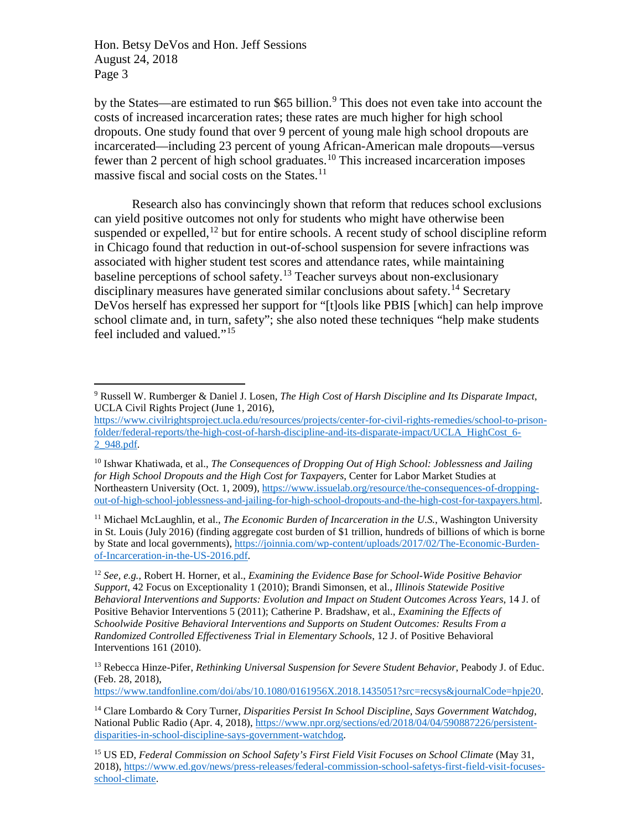by the States—are estimated to run \$65 billion.<sup>[9](#page-2-0)</sup> This does not even take into account the costs of increased incarceration rates; these rates are much higher for high school dropouts. One study found that over 9 percent of young male high school dropouts are incarcerated—including 23 percent of young African-American male dropouts—versus fewer than 2 percent of high school graduates.<sup>[10](#page-2-1)</sup> This increased incarceration imposes massive fiscal and social costs on the States.[11](#page-2-2)

Research also has convincingly shown that reform that reduces school exclusions can yield positive outcomes not only for students who might have otherwise been suspended or expelled,  $^{12}$  $^{12}$  $^{12}$  but for entire schools. A recent study of school discipline reform in Chicago found that reduction in out-of-school suspension for severe infractions was associated with higher student test scores and attendance rates, while maintaining baseline perceptions of school safety.<sup>[13](#page-2-4)</sup> Teacher surveys about non-exclusionary disciplinary measures have generated similar conclusions about safety.<sup>[14](#page-2-5)</sup> Secretary DeVos herself has expressed her support for "[t]ools like PBIS [which] can help improve school climate and, in turn, safety"; she also noted these techniques "help make students feel included and valued."[15](#page-2-6)

<span id="page-2-2"></span><sup>11</sup> Michael McLaughlin, et al., *The Economic Burden of Incarceration in the U.S.*, Washington University in St. Louis (July 2016) (finding aggregate cost burden of \$1 trillion, hundreds of billions of which is borne by State and local governments), [https://joinnia.com/wp-content/uploads/2017/02/The-Economic-Burden](https://joinnia.com/wp-content/uploads/2017/02/The-Economic-Burden-of-Incarceration-in-the-US-2016.pdf)[of-Incarceration-in-the-US-2016.pdf.](https://joinnia.com/wp-content/uploads/2017/02/The-Economic-Burden-of-Incarceration-in-the-US-2016.pdf) 

[https://www.tandfonline.com/doi/abs/10.1080/0161956X.2018.1435051?src=recsys&journalCode=hpje20.](https://www.tandfonline.com/doi/abs/10.1080/0161956X.2018.1435051?src=recsys&journalCode=hpje20)

<span id="page-2-0"></span> <sup>9</sup> Russell W. Rumberger & Daniel J. Losen, *The High Cost of Harsh Discipline and Its Disparate Impact*, UCLA Civil Rights Project (June 1, 2016),

[https://www.civilrightsproject.ucla.edu/resources/projects/center-for-civil-rights-remedies/school-to-prison](https://www.civilrightsproject.ucla.edu/resources/projects/center-for-civil-rights-remedies/school-to-prison-folder/federal-reports/the-high-cost-of-harsh-discipline-and-its-disparate-impact/UCLA_HighCost_6-2_948.pdf)[folder/federal-reports/the-high-cost-of-harsh-discipline-and-its-disparate-impact/UCLA\\_HighCost\\_6-](https://www.civilrightsproject.ucla.edu/resources/projects/center-for-civil-rights-remedies/school-to-prison-folder/federal-reports/the-high-cost-of-harsh-discipline-and-its-disparate-impact/UCLA_HighCost_6-2_948.pdf) [2\\_948.pdf.](https://www.civilrightsproject.ucla.edu/resources/projects/center-for-civil-rights-remedies/school-to-prison-folder/federal-reports/the-high-cost-of-harsh-discipline-and-its-disparate-impact/UCLA_HighCost_6-2_948.pdf)

<span id="page-2-1"></span><sup>10</sup> Ishwar Khatiwada, et al., *The Consequences of Dropping Out of High School: Joblessness and Jailing for High School Dropouts and the High Cost for Taxpayers*, Center for Labor Market Studies at Northeastern University (Oct. 1, 2009), [https://www.issuelab.org/resource/the-consequences-of-dropping](https://www.issuelab.org/resource/the-consequences-of-dropping-out-of-high-school-joblessness-and-jailing-for-high-school-dropouts-and-the-high-cost-for-taxpayers.html)[out-of-high-school-joblessness-and-jailing-for-high-school-dropouts-and-the-high-cost-for-taxpayers.html.](https://www.issuelab.org/resource/the-consequences-of-dropping-out-of-high-school-joblessness-and-jailing-for-high-school-dropouts-and-the-high-cost-for-taxpayers.html)

<span id="page-2-3"></span><sup>12</sup> *See, e.g.*, Robert H. Horner, et al., *Examining the Evidence Base for School-Wide Positive Behavior Support*, 42 Focus on Exceptionality 1 (2010); Brandi Simonsen, et al., *Illinois Statewide Positive Behavioral Interventions and Supports: Evolution and Impact on Student Outcomes Across Years*, 14 J. of Positive Behavior Interventions 5 (2011); Catherine P. Bradshaw, et al., *Examining the Effects of Schoolwide Positive Behavioral Interventions and Supports on Student Outcomes: Results From a Randomized Controlled Effectiveness Trial in Elementary Schools*, 12 J. of Positive Behavioral Interventions 161 (2010).

<span id="page-2-4"></span><sup>13</sup> Rebecca Hinze-Pifer, *Rethinking Universal Suspension for Severe Student Behavior*, Peabody J. of Educ. (Feb. 28, 2018),

<span id="page-2-5"></span><sup>14</sup> Clare Lombardo & Cory Turner, *Disparities Persist In School Discipline, Says Government Watchdog*, National Public Radio (Apr. 4, 2018)[, https://www.npr.org/sections/ed/2018/04/04/590887226/persistent](https://www.npr.org/sections/ed/2018/04/04/590887226/persistent-disparities-in-school-discipline-says-government-watchdog)[disparities-in-school-discipline-says-government-watchdog.](https://www.npr.org/sections/ed/2018/04/04/590887226/persistent-disparities-in-school-discipline-says-government-watchdog)

<span id="page-2-6"></span><sup>15</sup> US ED, *Federal Commission on School Safety's First Field Visit Focuses on School Climate* (May 31, 2018), [https://www.ed.gov/news/press-releases/federal-commission-school-safetys-first-field-visit-focuses](https://www.ed.gov/news/press-releases/federal-commission-school-safetys-first-field-visit-focuses-school-climate)[school-climate.](https://www.ed.gov/news/press-releases/federal-commission-school-safetys-first-field-visit-focuses-school-climate)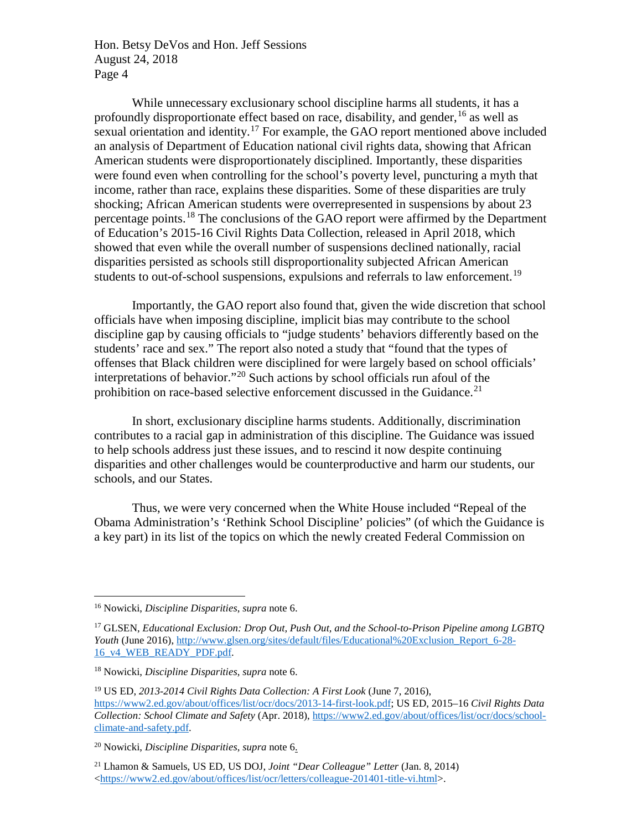While unnecessary exclusionary school discipline harms all students, it has a profoundly disproportionate effect based on race, disability, and gender,  $^{16}$  $^{16}$  $^{16}$  as well as sexual orientation and identity.<sup>[17](#page-3-1)</sup> For example, the GAO report mentioned above included an analysis of Department of Education national civil rights data, showing that African American students were disproportionately disciplined. Importantly, these disparities were found even when controlling for the school's poverty level, puncturing a myth that income, rather than race, explains these disparities. Some of these disparities are truly shocking; African American students were overrepresented in suspensions by about 23 percentage points.<sup>[18](#page-3-2)</sup> The conclusions of the GAO report were affirmed by the Department of Education's 2015-16 Civil Rights Data Collection, released in April 2018, which showed that even while the overall number of suspensions declined nationally, racial disparities persisted as schools still disproportionality subjected African American students to out-of-school suspensions, expulsions and referrals to law enforcement.<sup>[19](#page-3-3)</sup>

Importantly, the GAO report also found that, given the wide discretion that school officials have when imposing discipline, implicit bias may contribute to the school discipline gap by causing officials to "judge students' behaviors differently based on the students' race and sex." The report also noted a study that "found that the types of offenses that Black children were disciplined for were largely based on school officials' interpretations of behavior."[20](#page-3-4) Such actions by school officials run afoul of the prohibition on race-based selective enforcement discussed in the Guidance.<sup>[21](#page-3-5)</sup>

In short, exclusionary discipline harms students. Additionally, discrimination contributes to a racial gap in administration of this discipline. The Guidance was issued to help schools address just these issues, and to rescind it now despite continuing disparities and other challenges would be counterproductive and harm our students, our schools, and our States.

Thus, we were very concerned when the White House included "Repeal of the Obama Administration's 'Rethink School Discipline' policies" (of which the Guidance is a key part) in its list of the topics on which the newly created Federal Commission on

<span id="page-3-0"></span> <sup>16</sup> Nowicki, *Discipline Disparities*, *supra* note 6.

<span id="page-3-1"></span><sup>17</sup> GLSEN, *Educational Exclusion: Drop Out, Push Out, and the School-to-Prison Pipeline among LGBTQ Youth* (June 2016), [http://www.glsen.org/sites/default/files/Educational%20Exclusion\\_Report\\_6-28-](http://www.glsen.org/sites/default/files/Educational%20Exclusion_Report_6-28-16_v4_WEB_READY_PDF.pdf) [16\\_v4\\_WEB\\_READY\\_PDF.pdf.](http://www.glsen.org/sites/default/files/Educational%20Exclusion_Report_6-28-16_v4_WEB_READY_PDF.pdf)

<span id="page-3-2"></span><sup>18</sup> Nowicki, *Discipline Disparities*, *supra* note 6.

<span id="page-3-3"></span><sup>19</sup> US ED, *2013-2014 Civil Rights Data Collection: A First Look* (June 7, 2016), [https://www2.ed.gov/about/offices/list/ocr/docs/2013-14-first-look.pdf;](https://www2.ed.gov/about/offices/list/ocr/docs/2013-14-first-look.pdf) US ED, 2015–16 *Civil Rights Data Collection: School Climate and Safety* (Apr. 2018), [https://www2.ed.gov/about/offices/list/ocr/docs/school](https://www2.ed.gov/about/offices/list/ocr/docs/school-climate-and-safety.pdf)[climate-and-safety.pdf.](https://www2.ed.gov/about/offices/list/ocr/docs/school-climate-and-safety.pdf)

<span id="page-3-4"></span><sup>20</sup> Nowicki, *Discipline Disparities*, *supra* note 6.

<span id="page-3-5"></span><sup>21</sup> Lhamon & Samuels, US ED, US DOJ, *Joint "Dear Colleague" Letter* (Jan. 8, 2014) [<https://www2.ed.gov/about/offices/list/ocr/letters/colleague-201401-title-vi.html>](https://www2.ed.gov/about/offices/list/ocr/letters/colleague-201401-title-vi.html).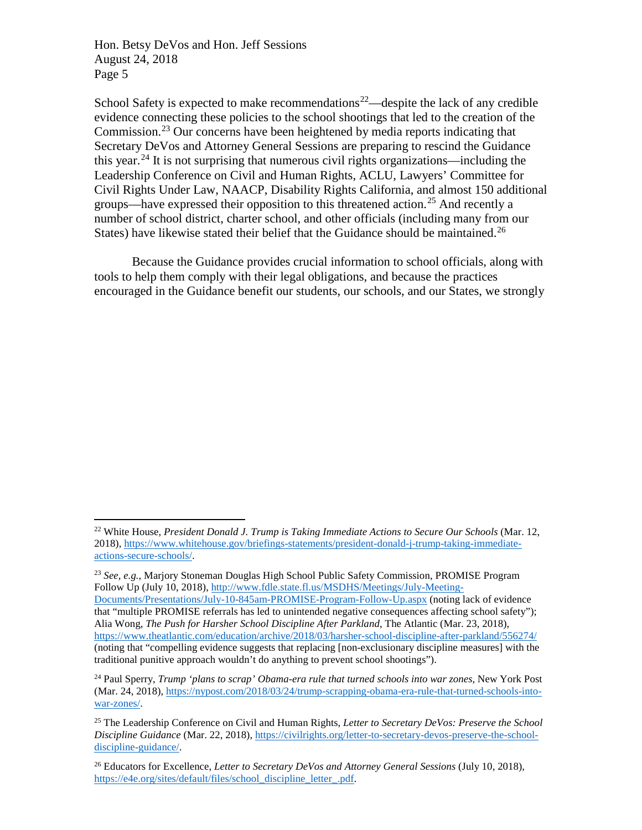School Safety is expected to make recommendations<sup>22</sup>—despite the lack of any credible evidence connecting these policies to the school shootings that led to the creation of the Commission.[23](#page-4-1) Our concerns have been heightened by media reports indicating that Secretary DeVos and Attorney General Sessions are preparing to rescind the Guidance this year.<sup>[24](#page-4-2)</sup> It is not surprising that numerous civil rights organizations—including the Leadership Conference on Civil and Human Rights, ACLU, Lawyers' Committee for Civil Rights Under Law, NAACP, Disability Rights California, and almost 150 additional groups—have expressed their opposition to this threatened action.<sup>[25](#page-4-3)</sup> And recently a number of school district, charter school, and other officials (including many from our States) have likewise stated their belief that the Guidance should be maintained.<sup>[26](#page-4-4)</sup>

Because the Guidance provides crucial information to school officials, along with tools to help them comply with their legal obligations, and because the practices encouraged in the Guidance benefit our students, our schools, and our States, we strongly

<span id="page-4-0"></span> <sup>22</sup> White House, *President Donald J. Trump is Taking Immediate Actions to Secure Our Schools* (Mar. 12, 2018), [https://www.whitehouse.gov/briefings-statements/president-donald-j-trump-taking-immediate](https://www.whitehouse.gov/briefings-statements/president-donald-j-trump-taking-immediate-actions-secure-schools/)[actions-secure-schools/.](https://www.whitehouse.gov/briefings-statements/president-donald-j-trump-taking-immediate-actions-secure-schools/) 

<span id="page-4-1"></span><sup>23</sup> *See, e.g.*, Marjory Stoneman Douglas High School Public Safety Commission, PROMISE Program Follow Up (July 10, 2018)[, http://www.fdle.state.fl.us/MSDHS/Meetings/July-Meeting-](http://www.fdle.state.fl.us/MSDHS/Meetings/July-Meeting-Documents/Presentations/July-10-845am-PROMISE-Program-Follow-Up.aspx)[Documents/Presentations/July-10-845am-PROMISE-Program-Follow-Up.aspx](http://www.fdle.state.fl.us/MSDHS/Meetings/July-Meeting-Documents/Presentations/July-10-845am-PROMISE-Program-Follow-Up.aspx) (noting lack of evidence that "multiple PROMISE referrals has led to unintended negative consequences affecting school safety"); Alia Wong, *The Push for Harsher School Discipline After Parkland*, The Atlantic (Mar. 23, 2018), <https://www.theatlantic.com/education/archive/2018/03/harsher-school-discipline-after-parkland/556274/> (noting that "compelling evidence suggests that replacing [non-exclusionary discipline measures] with the traditional punitive approach wouldn't do anything to prevent school shootings").

<span id="page-4-2"></span><sup>24</sup> Paul Sperry, *Trump 'plans to scrap' Obama-era rule that turned schools into war zones*, New York Post (Mar. 24, 2018), [https://nypost.com/2018/03/24/trump-scrapping-obama-era-rule-that-turned-schools-into](https://nypost.com/2018/03/24/trump-scrapping-obama-era-rule-that-turned-schools-into-war-zones/)[war-zones/.](https://nypost.com/2018/03/24/trump-scrapping-obama-era-rule-that-turned-schools-into-war-zones/)

<span id="page-4-3"></span><sup>25</sup> The Leadership Conference on Civil and Human Rights, *Letter to Secretary DeVos: Preserve the School Discipline Guidance* (Mar. 22, 2018), [https://civilrights.org/letter-to-secretary-devos-preserve-the-school](https://civilrights.org/letter-to-secretary-devos-preserve-the-school-discipline-guidance/)[discipline-guidance/.](https://civilrights.org/letter-to-secretary-devos-preserve-the-school-discipline-guidance/)

<span id="page-4-4"></span><sup>26</sup> Educators for Excellence, *Letter to Secretary DeVos and Attorney General Sessions* (July 10, 2018), [https://e4e.org/sites/default/files/school\\_discipline\\_letter\\_.pdf.](https://e4e.org/sites/default/files/school_discipline_letter_.pdf)